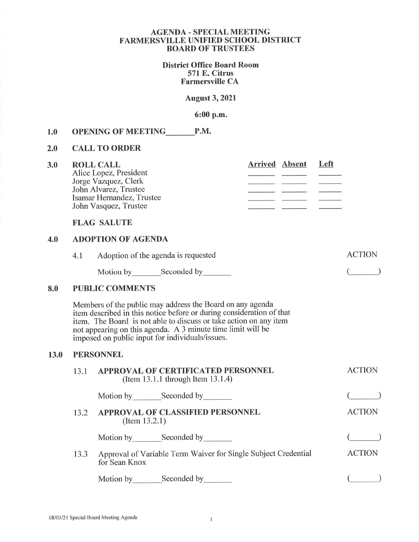#### AGENDA - SPECIAL MEETING FARMERSVILLE UNIFIED SCHOOL DISTRICT BOARD OF TRUSTEES

District Office Board Room 571 E. Citrus Farmersville CA

August 3,2021

6:00 p.m.

#### 1.0 OPENING OF MEETING P.M.

#### 2.0 CALL TO ORDER

| 3.0 | <b>ROLL CALL</b>          | <b>Arrived Absent</b> | Left |
|-----|---------------------------|-----------------------|------|
|     | Alice Lopez, President    |                       |      |
|     | Jorge Vazquez, Clerk      |                       |      |
|     | John Alvarez, Trustee     |                       |      |
|     | Isamar Hernandez, Trustee |                       |      |
|     | John Vasquez, Trustee     |                       |      |

#### FLAG SALUTE

#### 4.0 ADOPTION OF AGENDA

| 4.1 | Adoption of the agenda is requested |             |  | <b>ACTION</b> |
|-----|-------------------------------------|-------------|--|---------------|
|     | Motion by                           | Seconded by |  |               |

Motion by Seconded by

#### 8.0 PUBLIC COMMENTS

Members of the public may address the Board on any agenda item described in this notice before or during consideration of that item. The Board is not able to discuss or take action on any item not appearing on this agenda. A 3 minute time limit will be imposed on public input for individuals/issues.

## 13.0 PERSONNEL

| 13.1 | APPROVAL OF CERTIFICATED PERSONNEL<br>(Item 13.1.1 through Item $13.1.4$ )      | <b>ACTION</b> |
|------|---------------------------------------------------------------------------------|---------------|
|      | Motion by Seconded by                                                           |               |
| 13.2 | <b>APPROVAL OF CLASSIFIED PERSONNEL</b><br>(Item $13.2.1$ )                     | <b>ACTION</b> |
|      | Motion by Seconded by                                                           |               |
| 13.3 | Approval of Variable Term Waiver for Single Subject Credential<br>for Sean Knox | <b>ACTION</b> |
|      | Motion by Seconded by                                                           |               |